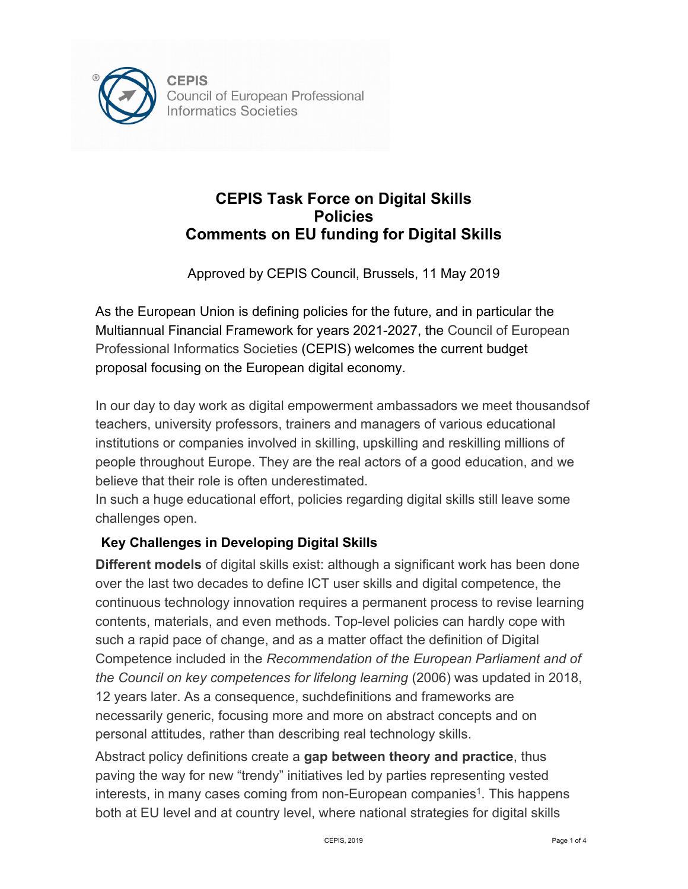

## **CEPIS Task Force on Digital Skills Policies Comments on EU funding for Digital Skills**

Approved by CEPIS Council, Brussels, 11 May 2019

As the European Union is defining policies for the future, and in particular the Multiannual Financial Framework for years 2021-2027, the Council of European Professional Informatics Societies (CEPIS) welcomes the current budget proposal focusing on the European digital economy.

In our day to day work as digital empowerment ambassadors we meet thousandsof teachers, university professors, trainers and managers of various educational institutions or companies involved in skilling, upskilling and reskilling millions of people throughout Europe. They are the real actors of a good education, and we believe that their role is often underestimated.

In such a huge educational effort, policies regarding digital skills still leave some challenges open.

## **Key Challenges in Developing Digital Skills**

**Different models** of digital skills exist: although a significant work has been done over the last two decades to define ICT user skills and digital competence, the continuous technology innovation requires a permanent process to revise learning contents, materials, and even methods. Top-level policies can hardly cope with such a rapid pace of change, and as a matter offact the definition of Digital Competence included in the *Recommendation of the European Parliament and of the Council on key competences for lifelong learning* (2006) was updated in 2018, 12 years [later.](https://later.as/) As a consequence, suchdefinitions and frameworks are necessarily generic, focusing more and more on abstract concepts and on personal attitudes, rather than describing real technology skills.

Abstract policy definitions create a **gap between theory and practice**, thus paving the way for new "trendy" initiatives led by parties representing vested interests, in many cases coming from non-European companies<sup>1</sup>. This happens both at EU level and at country level, where national strategies for digital skills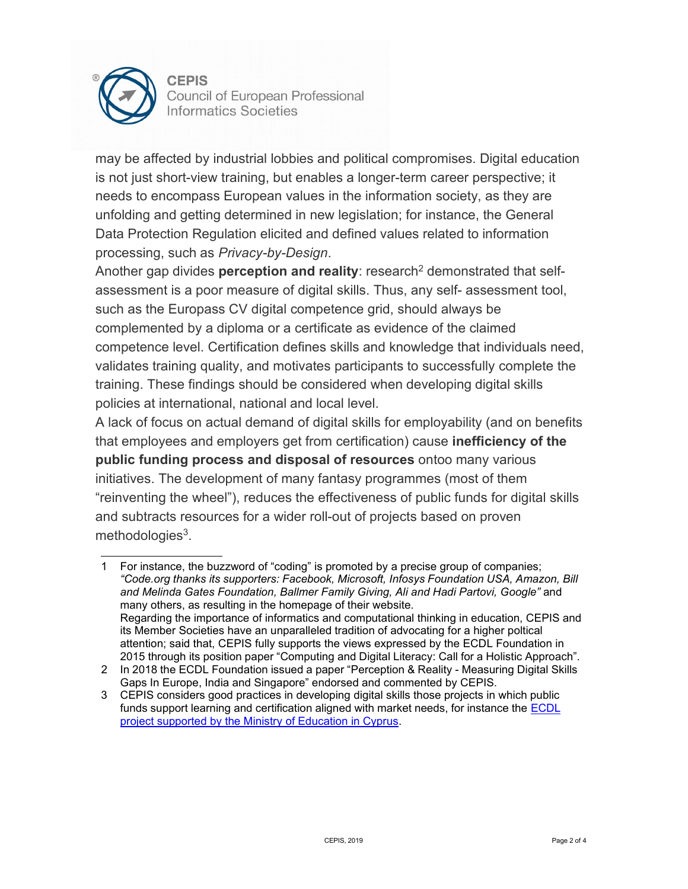

may be affected by industrial lobbies and political compromises. Digital education is not just short-view training, but enables a longer-term career perspective; it needs to encompass European values in the information society, as they are unfolding and getting determined in new legislation; for instance, the General Data Protection Regulation elicited and defined values related to information processing, such as *Privacy-by-Design*.

Another gap divides **perception and reality**: research<sup>2</sup> demonstrated that selfassessment is a poor measure of digital skills. Thus, any self- assessment tool, such as the Europass CV digital competence grid, should always be complemented by a diploma or a certificate as evidence of the claimed competence level. Certification defines skills and knowledge that individuals need, validates training quality, and motivates participants to successfully complete the training. These findings should be considered when developing digital skills policies at international, national and local level.

A lack of focus on actual demand of digital skills for employability (and on benefits that employees and employers get from certification) cause **inefficiency of the public funding process and disposal of resources** ontoo many various initiatives. The development of many fantasy programmes (most of them "reinventing the wheel"), reduces the effectiveness of public funds for digital skills and subtracts resources for a wider roll-out of projects based on proven methodologies<sup>3</sup>.

<span id="page-1-0"></span><sup>1</sup> For instance, the buzzword of "coding" is promoted by a precise group of companies; *"Code.org thanks its supporters: Facebook, Microsoft, Infosys Foundation USA, Amazon, Bill and Melinda Gates Foundation, Ballmer Family Giving, Ali and Hadi Partovi, Google"* and many others, as resulting in the homepage of their website. Regarding the importance of informatics and computational thinking in education, CEPIS and its Member Societies have an unparalleled tradition of advocating for a higher poltical attention; said that, CEPIS fully supports the views expressed by the ECDL Foundation in 2015 through its position paper "Computing and Digital Literacy: Call for a Holistic Approach".

<span id="page-1-2"></span><span id="page-1-1"></span><sup>2</sup> In 2018 the ECDL Foundation issued a paper "Perception & Reality - Measuring Digital Skills Gaps In Europe, India and Singapore" endorsed and commented by CEPIS.

<sup>3</sup> CEPIS considers good practices in developing digital skills those projects in which public funds support learning and certification aligned with market needs, for instance the [ECDL](https://ec.europa.eu/digital-single-market/en/content/introduction-european-computer-driving-license-ecdl-teaching-voluntary-basis-students) project supported by the Ministry of [Education in](https://ec.europa.eu/digital-single-market/en/content/introduction-european-computer-driving-license-ecdl-teaching-voluntary-basis-students) Cyprus.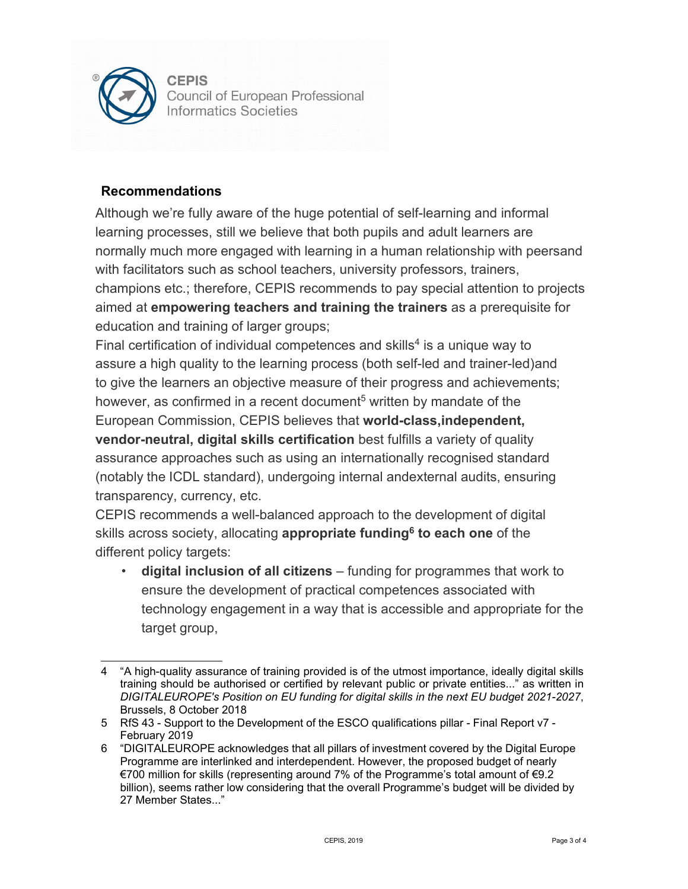

## **Recommendations**

Although we're fully aware of the huge potential of self-learning and informal learning processes, still we believe that both pupils and adult learners are normally much more engaged with learning in a human relationship with peersand with facilitators such as school teachers, university professors, trainers, champions etc.; therefore, CEPIS recommends to pay special attention to projects aimed at **empowering teachers and training the trainers** as a prerequisite for education and training of larger groups;

Final certification of individual competences and skills<sup>4</sup> is a unique way to assure a high quality to the learning process (both self-led and trainer-led)and to give the learners an objective measure of their progress and achievements; however, as confirmed in a recent document<sup>5</sup> written by mandate of the European Commission, CEPIS believes that **world-class,independent, vendor-neutral, digital skills certification** best fulfills a variety of quality assurance approaches such as using an internationally recognised standard (notably the ICDL standard), undergoing internal andexternal audits, ensuring transparency, currency, etc.

CEPIS recommends a well-balanced approach to the development of digital skills across society, allocating **appropriate fundin[g6](#page-2-2) to each one** of the different policy targets:

• **digital inclusion of all citizens** – funding for programmes that work to ensure the development of practical competences associated with technology engagement in a way that is accessible and appropriate for the target group,

<span id="page-2-0"></span><sup>4</sup> "A high-quality assurance of training provided is of the utmost importance, ideally digital skills training should be authorised or certified by relevant public or private entities..." as written in *DIGITALEUROPE's Position on EU funding for digital skills in the next EU budget 2021-2027*, Brussels, 8 October 2018

<span id="page-2-2"></span><span id="page-2-1"></span><sup>5</sup> RfS 43 - Support to the Development of the ESCO qualifications pillar - Final Report v7 - February 2019

<sup>6</sup> "DIGITALEUROPE acknowledges that all pillars of investment covered by the Digital Europe Programme are interlinked and interdependent. However, the proposed budget of nearly €700 million for skills (representing around 7% of the Programme's total amount of €9.2 billion), seems rather low considering that the overall Programme's budget will be divided by 27 Member States..."